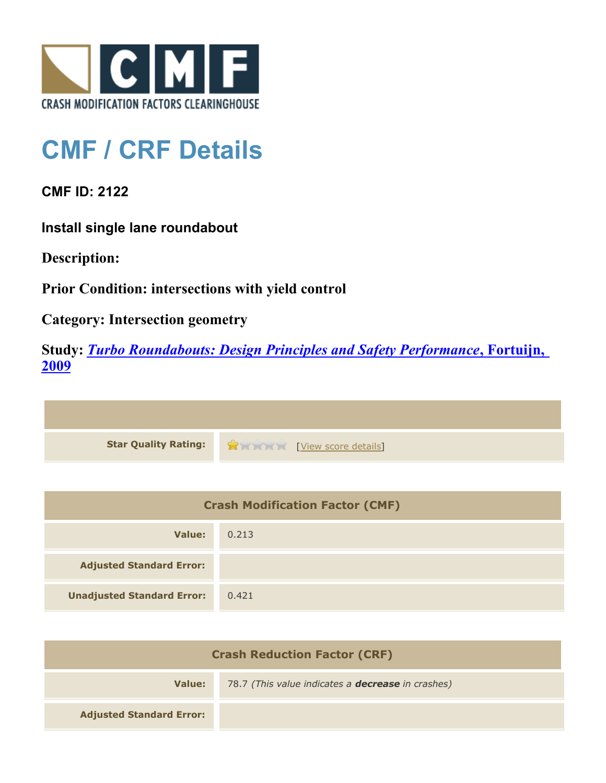

## **CMF / CRF Details**

**CMF ID: 2122**

**Install single lane roundabout**

**Description:** 

**Prior Condition: intersections with yield control**

**Category: Intersection geometry**

**Study:** *[Turbo Roundabouts: Design Principles and Safety Performance](http://www.cmfclearinghouse.org/study_detail.cfm?stid=123)***[, Fortuijn,](http://www.cmfclearinghouse.org/study_detail.cfm?stid=123) [2009](http://www.cmfclearinghouse.org/study_detail.cfm?stid=123)**



| <b>Crash Modification Factor (CMF)</b> |       |
|----------------------------------------|-------|
| Value:                                 | 0.213 |
| <b>Adjusted Standard Error:</b>        |       |
| <b>Unadjusted Standard Error:</b>      | 0.421 |

| <b>Crash Reduction Factor (CRF)</b> |                                                          |
|-------------------------------------|----------------------------------------------------------|
| Value:                              | 78.7 (This value indicates a <b>decrease</b> in crashes) |
| <b>Adjusted Standard Error:</b>     |                                                          |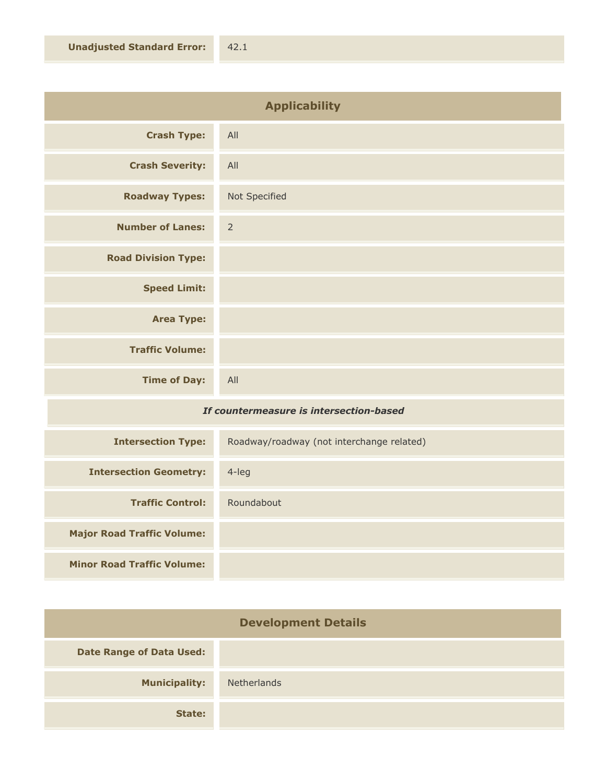| <b>Applicability</b>       |                |
|----------------------------|----------------|
| <b>Crash Type:</b>         | All            |
| <b>Crash Severity:</b>     | All            |
| <b>Roadway Types:</b>      | Not Specified  |
| <b>Number of Lanes:</b>    | $\overline{2}$ |
| <b>Road Division Type:</b> |                |
| <b>Speed Limit:</b>        |                |
| <b>Area Type:</b>          |                |
| <b>Traffic Volume:</b>     |                |
| <b>Time of Day:</b>        | All            |

## *If countermeasure is intersection-based*

| <b>Intersection Type:</b>         | Roadway/roadway (not interchange related) |
|-----------------------------------|-------------------------------------------|
| <b>Intersection Geometry:</b>     | $4$ -leg                                  |
| <b>Traffic Control:</b>           | Roundabout                                |
| <b>Major Road Traffic Volume:</b> |                                           |
| <b>Minor Road Traffic Volume:</b> |                                           |

| <b>Development Details</b>      |             |
|---------------------------------|-------------|
| <b>Date Range of Data Used:</b> |             |
| <b>Municipality:</b>            | Netherlands |
| State:                          |             |